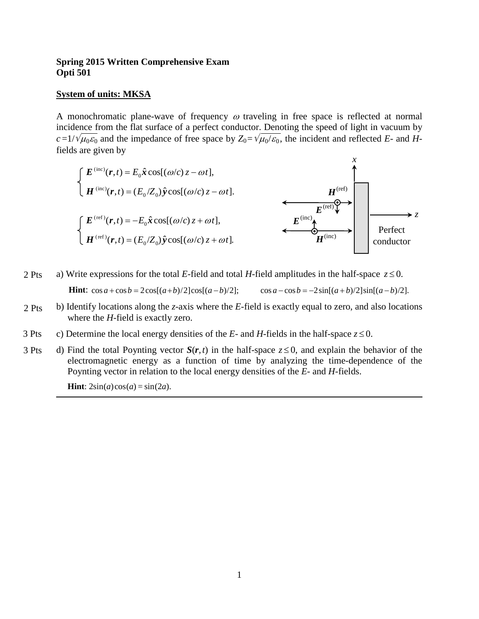#### **System of units: MKSA**

A monochromatic plane-wave of frequency  $\omega$  traveling in free space is reflected at normal incidence from the flat surface of a perfect conductor. Denoting the speed of light in vacuum by  $c =1/\sqrt{\mu_0 \varepsilon_0}$  and the impedance of free space by  $Z_0 = \sqrt{\mu_0/\varepsilon_0}$ , the incident and reflected *E*- and *H*fields are given by



a) Write expressions for the total *E*-field and total *H*-field amplitudes in the half-space  $z \le 0$ . 2 Pts

**Hint**:  $\cos a + \cos b = 2\cos[(a+b)/2]\cos[(a-b)/2]$ ;  $\cos a - \cos b = -2\sin[(a+b)/2]\sin[(a-b)/2]$ .

- b) Identify locations along the *z*-axis where the *E*-field is exactly equal to zero, and also locations where the *H*-field is exactly zero. 2 Pts
- c) Determine the local energy densities of the  $E$  and  $H$ -fields in the half-space  $z \le 0$ . 3 Pts
- d) Find the total Poynting vector  $S(r, t)$  in the half-space  $z \le 0$ , and explain the behavior of the electromagnetic energy as a function of time by analyzing the time-dependence of the Poynting vector in relation to the local energy densities of the *E*- and *H*-fields. 3 Pts

**Hint**:  $2\sin(a)\cos(a) = \sin(2a)$ .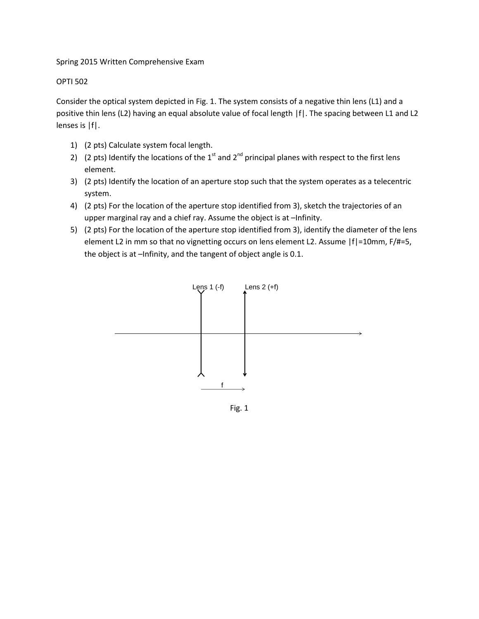OPTI 502

Consider the optical system depicted in Fig. 1. The system consists of a negative thin lens (L1) and a positive thin lens (L2) having an equal absolute value of focal length |f|. The spacing between L1 and L2 lenses is |f|.

- 1) (2 pts) Calculate system focal length.
- 2) (2 pts) Identify the locations of the  $1<sup>st</sup>$  and  $2<sup>nd</sup>$  principal planes with respect to the first lens element.
- 3) (2 pts) Identify the location of an aperture stop such that the system operates as a telecentric system.
- 4) (2 pts) For the location of the aperture stop identified from 3), sketch the trajectories of an upper marginal ray and a chief ray. Assume the object is at –Infinity.
- 5) (2 pts) For the location of the aperture stop identified from 3), identify the diameter of the lens element L2 in mm so that no vignetting occurs on lens element L2. Assume |f|=10mm, F/#=5, the object is at –Infinity, and the tangent of object angle is 0.1.



Fig. 1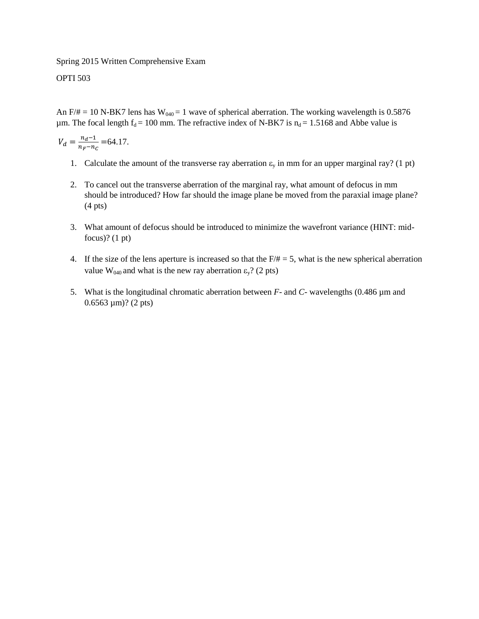OPTI 503

An F/# = 10 N-BK7 lens has  $W_{040} = 1$  wave of spherical aberration. The working wavelength is 0.5876 µm. The focal length  $f_d = 100$  mm. The refractive index of N-BK7 is  $n_d = 1.5168$  and Abbe value is

$$
V_d = \frac{n_d - 1}{n_F - n_C} = 64.17.
$$

- 1. Calculate the amount of the transverse ray aberration  $\varepsilon_v$  in mm for an upper marginal ray? (1 pt)
- 2. To cancel out the transverse aberration of the marginal ray, what amount of defocus in mm should be introduced? How far should the image plane be moved from the paraxial image plane? (4 pts)
- 3. What amount of defocus should be introduced to minimize the wavefront variance (HINT: midfocus)? (1 pt)
- 4. If the size of the lens aperture is increased so that the  $F/\# = 5$ , what is the new spherical aberration value  $W_{040}$  and what is the new ray aberration  $\varepsilon_v$ ? (2 pts)
- 5. What is the longitudinal chromatic aberration between *F* and *C* wavelengths (0.486 µm and  $0.6563 \,\mathrm{\mu m}$ ? (2 pts)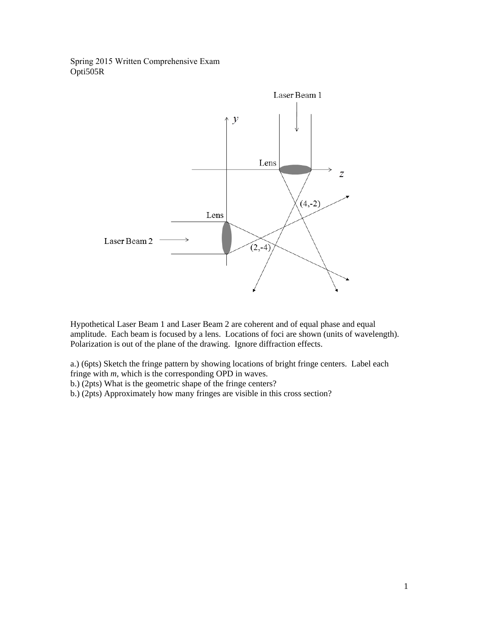

Hypothetical Laser Beam 1 and Laser Beam 2 are coherent and of equal phase and equal amplitude. Each beam is focused by a lens. Locations of foci are shown (units of wavelength). Polarization is out of the plane of the drawing. Ignore diffraction effects.

a.) (6pts) Sketch the fringe pattern by showing locations of bright fringe centers. Label each fringe with *m*, which is the corresponding OPD in waves.

b.) (2pts) What is the geometric shape of the fringe centers?

b.) (2pts) Approximately how many fringes are visible in this cross section?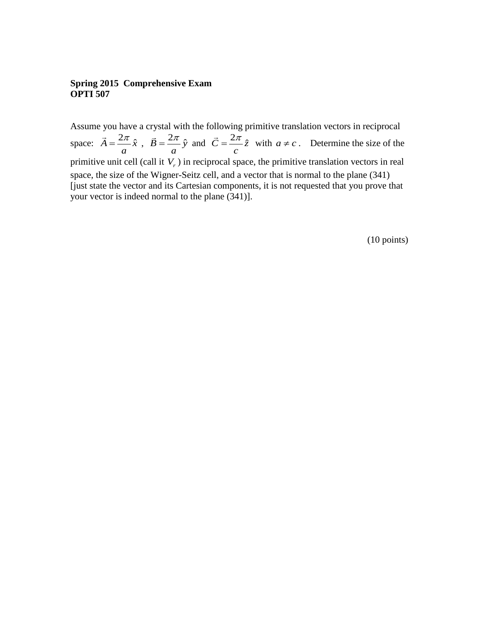### **Spring 2015 Comprehensive Exam OPTI 507**

Assume you have a crystal with the following primitive translation vectors in reciprocal space:  $\vec{A} = \frac{2\pi}{a}\hat{x}$ ,  $\vec{B} = \frac{2\pi}{a}\hat{y}$  and  $\vec{C} = \frac{2\pi}{c}\hat{z}$  with  $a \neq c$ . Determine the size of the primitive unit cell (call it  $V_r$ ) in reciprocal space, the primitive translation vectors in real space, the size of the Wigner-Seitz cell, and a vector that is normal to the plane (341) [just state the vector and its Cartesian components, it is not requested that you prove that your vector is indeed normal to the plane (341)].

(10 points)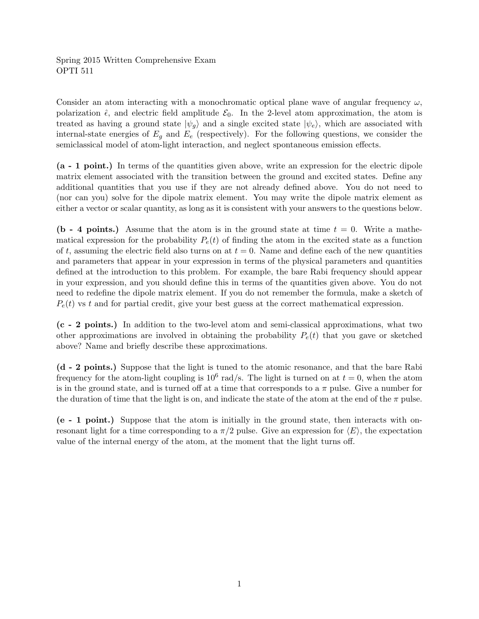Consider an atom interacting with a monochromatic optical plane wave of angular frequency  $\omega$ , polarization  $\hat{\epsilon}$ , and electric field amplitude  $\mathcal{E}_0$ . In the 2-level atom approximation, the atom is treated as having a ground state  $|\psi_g\rangle$  and a single excited state  $|\psi_e\rangle$ , which are associated with internal-state energies of  $E_q$  and  $E_e$  (respectively). For the following questions, we consider the semiclassical model of atom-light interaction, and neglect spontaneous emission effects.

(a - 1 point.) In terms of the quantities given above, write an expression for the electric dipole matrix element associated with the transition between the ground and excited states. Define any additional quantities that you use if they are not already defined above. You do not need to (nor can you) solve for the dipole matrix element. You may write the dipole matrix element as either a vector or scalar quantity, as long as it is consistent with your answers to the questions below.

(b - 4 points.) Assume that the atom is in the ground state at time  $t = 0$ . Write a mathematical expression for the probability  $P_e(t)$  of finding the atom in the excited state as a function of t, assuming the electric field also turns on at  $t = 0$ . Name and define each of the new quantities and parameters that appear in your expression in terms of the physical parameters and quantities defined at the introduction to this problem. For example, the bare Rabi frequency should appear in your expression, and you should define this in terms of the quantities given above. You do not need to redefine the dipole matrix element. If you do not remember the formula, make a sketch of  $P_e(t)$  vs t and for partial credit, give your best guess at the correct mathematical expression.

(c - 2 points.) In addition to the two-level atom and semi-classical approximations, what two other approximations are involved in obtaining the probability  $P_e(t)$  that you gave or sketched above? Name and briefly describe these approximations.

(d - 2 points.) Suppose that the light is tuned to the atomic resonance, and that the bare Rabi frequency for the atom-light coupling is  $10^6$  rad/s. The light is turned on at  $t = 0$ , when the atom is in the ground state, and is turned off at a time that corresponds to a  $\pi$  pulse. Give a number for the duration of time that the light is on, and indicate the state of the atom at the end of the  $\pi$  pulse.

(e - 1 point.) Suppose that the atom is initially in the ground state, then interacts with onresonant light for a time corresponding to a  $\pi/2$  pulse. Give an expression for  $\langle E \rangle$ , the expectation value of the internal energy of the atom, at the moment that the light turns off.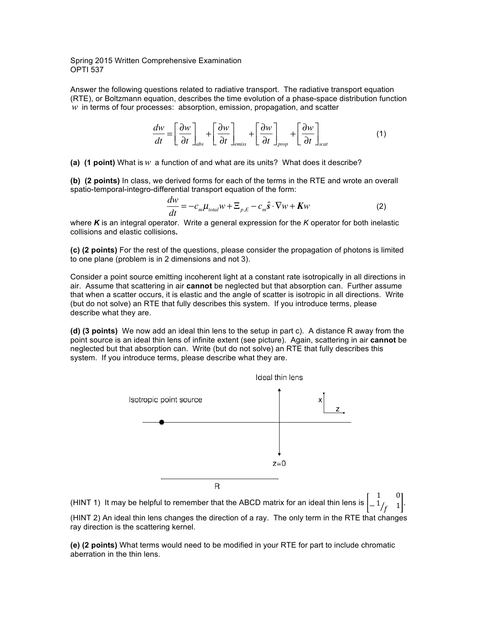Spring 2015 Written Comprehensive Examination OPTI 537

Answer the following questions related to radiative transport. The radiative transport equation (RTE), or Boltzmann equation, describes the time evolution of a phase-space distribution function *w* in terms of four processes: absorption, emission, propagation, and scatter

$$
\frac{dw}{dt} = \left[\frac{\partial w}{\partial t}\right]_{abs} + \left[\frac{\partial w}{\partial t}\right]_{emiss} + \left[\frac{\partial w}{\partial t}\right]_{prop} + \left[\frac{\partial w}{\partial t}\right]_{scat}
$$
(1)

**(a) (1 point)** What is*w* a function of and what are its units? What does it describe?

**(b) (2 points)** In class, we derived forms for each of the terms in the RTE and wrote an overall spatio-temporal-integro-differential transport equation of the form:

$$
\frac{dw}{dt} = -c_m \mu_{total} w + \Xi_{p,E} - c_m \hat{\mathbf{s}} \cdot \nabla w + \mathbf{K} w \tag{2}
$$

where *K* is an integral operator. Write a general expression for the *K* operator for both inelastic collisions and elastic collisions**.**

**(c) (2 points)** For the rest of the questions, please consider the propagation of photons is limited to one plane (problem is in 2 dimensions and not 3).

Consider a point source emitting incoherent light at a constant rate isotropically in all directions in air. Assume that scattering in air **cannot** be neglected but that absorption can. Further assume that when a scatter occurs, it is elastic and the angle of scatter is isotropic in all directions. Write (but do not solve) an RTE that fully describes this system. If you introduce terms, please describe what they are.

**(d) (3 points)** We now add an ideal thin lens to the setup in part c). A distance R away from the point source is an ideal thin lens of infinite extent (see picture). Again, scattering in air **cannot** be neglected but that absorption can. Write (but do not solve) an RTE that fully describes this system. If you introduce terms, please describe what they are.



(HINT 1) It may be helpful to remember that the ABCD matrix for an ideal thin lens is 1 0  $-\frac{1}{f}$  1. (HINT 2) An ideal thin lens changes the direction of a ray. The only term in the RTE that changes ray direction is the scattering kernel.

**(e) (2 points)** What terms would need to be modified in your RTE for part to include chromatic aberration in the thin lens.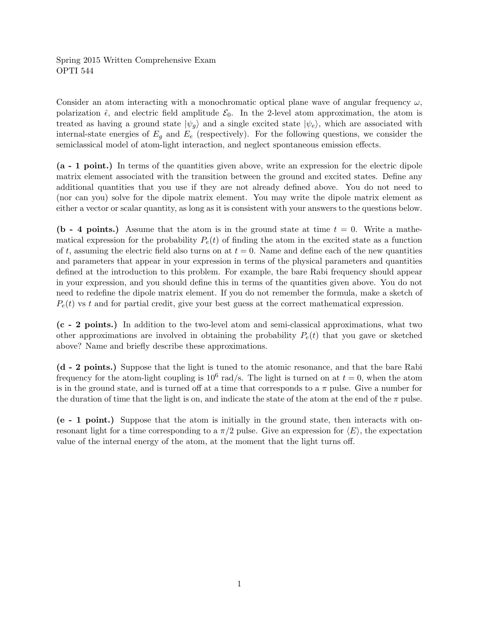Consider an atom interacting with a monochromatic optical plane wave of angular frequency  $\omega$ , polarization  $\hat{\epsilon}$ , and electric field amplitude  $\mathcal{E}_0$ . In the 2-level atom approximation, the atom is treated as having a ground state  $|\psi_g\rangle$  and a single excited state  $|\psi_e\rangle$ , which are associated with internal-state energies of  $E_q$  and  $E_e$  (respectively). For the following questions, we consider the semiclassical model of atom-light interaction, and neglect spontaneous emission effects.

(a - 1 point.) In terms of the quantities given above, write an expression for the electric dipole matrix element associated with the transition between the ground and excited states. Define any additional quantities that you use if they are not already defined above. You do not need to (nor can you) solve for the dipole matrix element. You may write the dipole matrix element as either a vector or scalar quantity, as long as it is consistent with your answers to the questions below.

(b - 4 points.) Assume that the atom is in the ground state at time  $t = 0$ . Write a mathematical expression for the probability  $P_e(t)$  of finding the atom in the excited state as a function of t, assuming the electric field also turns on at  $t = 0$ . Name and define each of the new quantities and parameters that appear in your expression in terms of the physical parameters and quantities defined at the introduction to this problem. For example, the bare Rabi frequency should appear in your expression, and you should define this in terms of the quantities given above. You do not need to redefine the dipole matrix element. If you do not remember the formula, make a sketch of  $P_e(t)$  vs t and for partial credit, give your best guess at the correct mathematical expression.

(c - 2 points.) In addition to the two-level atom and semi-classical approximations, what two other approximations are involved in obtaining the probability  $P_e(t)$  that you gave or sketched above? Name and briefly describe these approximations.

(d - 2 points.) Suppose that the light is tuned to the atomic resonance, and that the bare Rabi frequency for the atom-light coupling is  $10^6$  rad/s. The light is turned on at  $t = 0$ , when the atom is in the ground state, and is turned off at a time that corresponds to a  $\pi$  pulse. Give a number for the duration of time that the light is on, and indicate the state of the atom at the end of the  $\pi$  pulse.

(e - 1 point.) Suppose that the atom is initially in the ground state, then interacts with onresonant light for a time corresponding to a  $\pi/2$  pulse. Give an expression for  $\langle E \rangle$ , the expectation value of the internal energy of the atom, at the moment that the light turns off.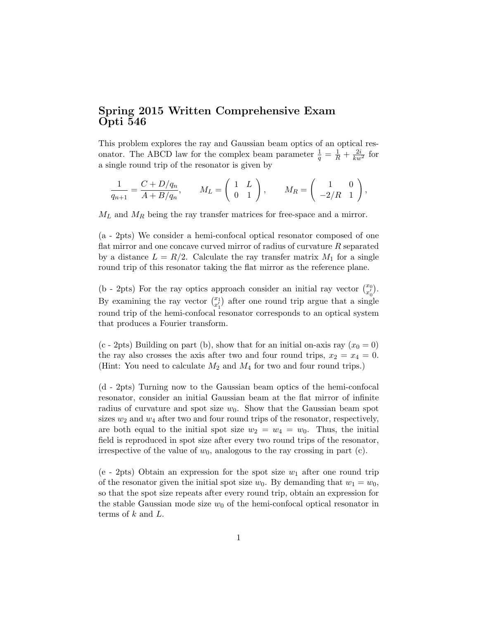This problem explores the ray and Gaussian beam optics of an optical resonator. The ABCD law for the complex beam parameter  $\frac{1}{q} = \frac{1}{R} + \frac{2i}{kw^2}$  for a single round trip of the resonator is given by

$$
\frac{1}{q_{n+1}}=\frac{C+D/q_n}{A+B/q_n},\qquad M_L=\left(\begin{array}{cc} 1 & L \\ 0 & 1 \end{array}\right),\qquad M_R=\left(\begin{array}{cc} 1 & 0 \\ -2/R & 1 \end{array}\right),
$$

 $M_L$  and  $M_R$  being the ray transfer matrices for free-space and a mirror.

(a - 2pts) We consider a hemi-confocal optical resonator composed of one flat mirror and one concave curved mirror of radius of curvature  $R$  separated by a distance  $L = R/2$ . Calculate the ray transfer matrix  $M_1$  for a single round trip of this resonator taking the flat mirror as the reference plane.

(b - 2pts) For the ray optics approach consider an initial ray vector  $\binom{x_0}{x_0'}$ . By examining the ray vector  $\binom{x_1}{x'_1}$  after one round trip argue that a single round trip of the hemi-confocal resonator corresponds to an optical system that produces a Fourier transform.

(c - 2pts) Building on part (b), show that for an initial on-axis ray  $(x_0 = 0)$ the ray also crosses the axis after two and four round trips,  $x_2 = x_4 = 0$ . (Hint: You need to calculate  $M_2$  and  $M_4$  for two and four round trips.)

(d - 2pts) Turning now to the Gaussian beam optics of the hemi-confocal resonator, consider an initial Gaussian beam at the flat mirror of infinite radius of curvature and spot size  $w_0$ . Show that the Gaussian beam spot sizes  $w_2$  and  $w_4$  after two and four round trips of the resonator, respectively, are both equal to the initial spot size  $w_2 = w_4 = w_0$ . Thus, the initial field is reproduced in spot size after every two round trips of the resonator, irrespective of the value of  $w_0$ , analogous to the ray crossing in part (c).

(e - 2pts) Obtain an expression for the spot size  $w_1$  after one round trip of the resonator given the initial spot size  $w_0$ . By demanding that  $w_1 = w_0$ , so that the spot size repeats after every round trip, obtain an expression for the stable Gaussian mode size  $w_0$  of the hemi-confocal optical resonator in terms of  $k$  and  $L$ .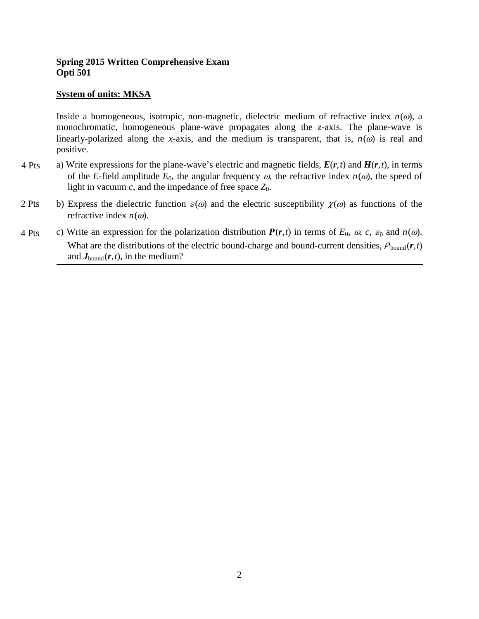## **System of units: MKSA**

Inside a homogeneous, isotropic, non-magnetic, dielectric medium of refractive index  $n(\omega)$ , a monochromatic, homogeneous plane-wave propagates along the *z*-axis. The plane-wave is linearly-polarized along the *x*-axis, and the medium is transparent, that is,  $n(\omega)$  is real and positive.

- a) Write expressions for the plane-wave's electric and magnetic fields,  $E(r, t)$  and  $H(r, t)$ , in terms of the *E*-field amplitude  $E_0$ , the angular frequency  $\omega$ , the refractive index  $n(\omega)$ , the speed of light in vacuum *c*, and the impedance of free space  $Z_0$ . 4 Pts
- b) Express the dielectric function  $\varepsilon(\omega)$  and the electric susceptibility  $\chi(\omega)$  as functions of the refractive index  $n(\omega)$ . 2 Pts
- c) Write an expression for the polarization distribution  $P(r,t)$  in terms of  $E_0$ ,  $\omega$ ,  $c$ ,  $\varepsilon_0$  and  $n(\omega)$ . What are the distributions of the electric bound-charge and bound-current densities,  $\rho_{\text{bound}}(r,t)$ and  $J_{\text{bound}}(r,t)$ , in the medium? 4 Pts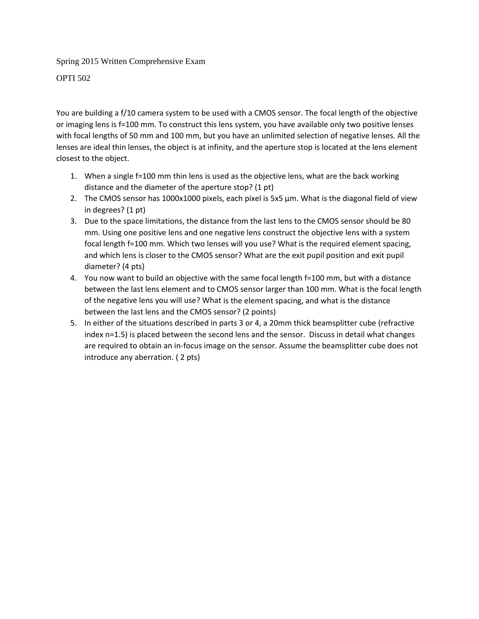You are building a f/10 camera system to be used with a CMOS sensor. The focal length of the objective or imaging lens is f=100 mm. To construct this lens system, you have available only two positive lenses with focal lengths of 50 mm and 100 mm, but you have an unlimited selection of negative lenses. All the lenses are ideal thin lenses, the object is at infinity, and the aperture stop is located at the lens element closest to the object.

- 1. When a single f=100 mm thin lens is used as the objective lens, what are the back working distance and the diameter of the aperture stop? (1 pt)
- 2. The CMOS sensor has 1000x1000 pixels, each pixel is 5x5 µm. What is the diagonal field of view in degrees? (1 pt)
- 3. Due to the space limitations, the distance from the last lens to the CMOS sensor should be 80 mm. Using one positive lens and one negative lens construct the objective lens with a system focal length f=100 mm. Which two lenses will you use? What is the required element spacing, and which lens is closer to the CMOS sensor? What are the exit pupil position and exit pupil diameter? (4 pts)
- 4. You now want to build an objective with the same focal length f=100 mm, but with a distance between the last lens element and to CMOS sensor larger than 100 mm. What is the focal length of the negative lens you will use? What is the element spacing, and what is the distance between the last lens and the CMOS sensor? (2 points)
- 5. In either of the situations described in parts 3 or 4, a 20mm thick beamsplitter cube (refractive index n=1.5) is placed between the second lens and the sensor. Discuss in detail what changes are required to obtain an in‐focus image on the sensor. Assume the beamsplitter cube does not introduce any aberration. ( 2 pts)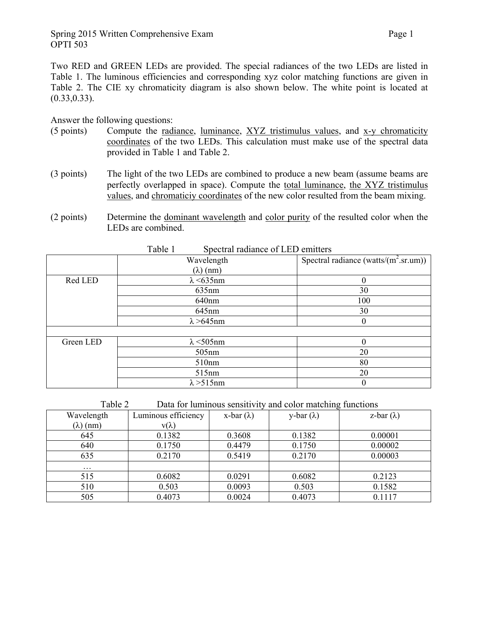Spring 2015 Written Comprehensive Exam Page 1 OPTI 503

Two RED and GREEN LEDs are provided. The special radiances of the two LEDs are listed in Table 1. The luminous efficiencies and corresponding xyz color matching functions are given in Table 2. The CIE xy chromaticity diagram is also shown below. The white point is located at  $(0.33, 0.33)$ .

Answer the following questions:

- (5 points) Compute the radiance, luminance, XYZ tristimulus values, and x-y chromaticity coordinates of the two LEDs. This calculation must make use of the spectral data provided in Table 1 and Table 2.
- (3 points) The light of the two LEDs are combined to produce a new beam (assume beams are perfectly overlapped in space). Compute the total luminance, the XYZ tristimulus values, and chromaticiy coordinates of the new color resulted from the beam mixing.
- (2 points) Determine the dominant wavelength and color purity of the resulted color when the LEDs are combined.

|           | <b>rault</b> 1<br>Specular radiance of LED chillers |                                           |  |  |  |
|-----------|-----------------------------------------------------|-------------------------------------------|--|--|--|
|           | Wavelength                                          | Spectral radiance (watts/ $(m^2.sr.um)$ ) |  |  |  |
|           | $(\lambda)$ (nm)                                    |                                           |  |  |  |
| Red LED   | $\lambda$ <635nm                                    | $\theta$                                  |  |  |  |
|           | 635 <sub>nm</sub>                                   | 30                                        |  |  |  |
|           | 640 <sub>nm</sub>                                   | 100                                       |  |  |  |
|           | 645 <sub>nm</sub>                                   | 30                                        |  |  |  |
|           | $\lambda > 645$ nm                                  | $\theta$                                  |  |  |  |
|           |                                                     |                                           |  |  |  |
| Green LED | $\lambda$ <505nm                                    | 0                                         |  |  |  |
|           | 505nm                                               | 20                                        |  |  |  |
|           | 510 <sub>nm</sub>                                   | 80                                        |  |  |  |
|           | 515nm                                               | 20                                        |  |  |  |
|           | $\lambda$ > 515nm                                   | 0                                         |  |  |  |

Table 1 Spectral radiance of LED emitters

Table 2 Data for luminous sensitivity and color matching functions

| Wavelength       | Luminous efficiency | x-bar $(\lambda)$ | y-bar $(\lambda)$ | z-bar $(\lambda)$ |
|------------------|---------------------|-------------------|-------------------|-------------------|
| $(\lambda)$ (nm) | $v(\lambda)$        |                   |                   |                   |
| 645              | 0.1382              | 0.3608            | 0.1382            | 0.00001           |
| 640              | 0.1750              | 0.4479            | 0.1750            | 0.00002           |
| 635              | 0.2170              | 0.5419            | 0.2170            | 0.00003           |
| $\cdots$         |                     |                   |                   |                   |
| 515              | 0.6082              | 0.0291            | 0.6082            | 0.2123            |
| 510              | 0.503               | 0.0093            | 0.503             | 0.1582            |
| 505              | 0.4073              | 0.0024            | 0.4073            | 0.1117            |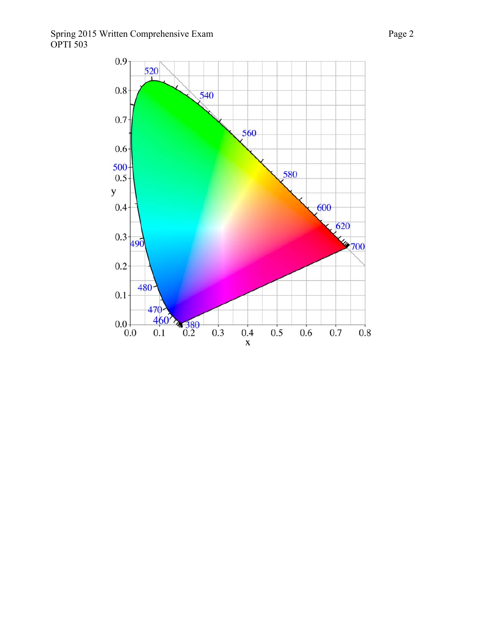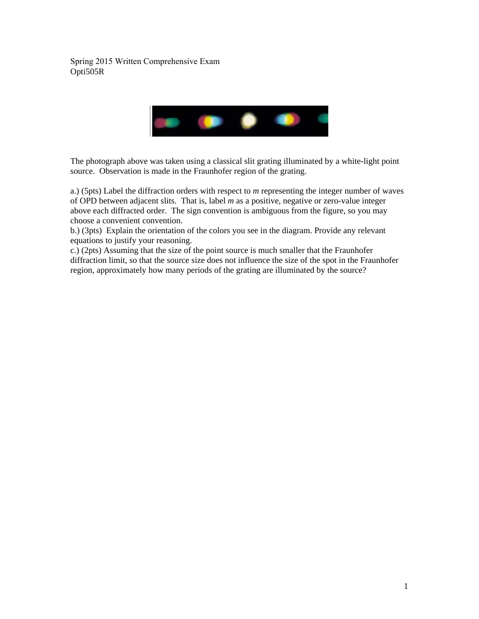

The photograph above was taken using a classical slit grating illuminated by a white-light point source. Observation is made in the Fraunhofer region of the grating.

a.) (5pts) Label the diffraction orders with respect to *m* representing the integer number of waves of OPD between adjacent slits. That is, label *m* as a positive, negative or zero-value integer above each diffracted order. The sign convention is ambiguous from the figure, so you may choose a convenient convention.

b.) (3pts) Explain the orientation of the colors you see in the diagram. Provide any relevant equations to justify your reasoning.

c.) (2pts) Assuming that the size of the point source is much smaller that the Fraunhofer diffraction limit, so that the source size does not influence the size of the spot in the Fraunhofer region, approximately how many periods of the grating are illuminated by the source?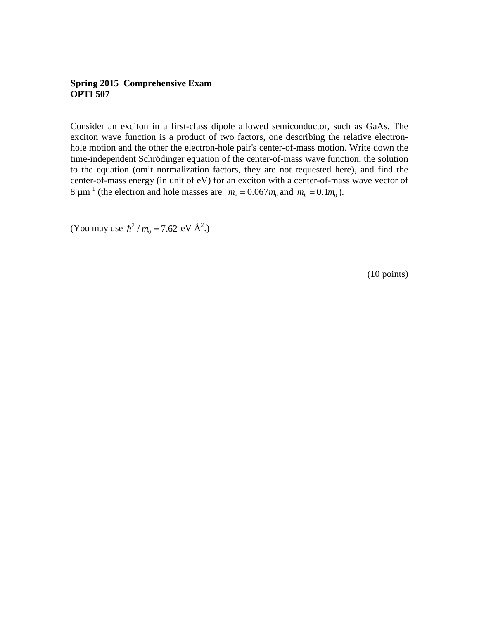## **Spring 2015 Comprehensive Exam OPTI 507**

Consider an exciton in a first-class dipole allowed semiconductor, such as GaAs. The exciton wave function is a product of two factors, one describing the relative electronhole motion and the other the electron-hole pair's center-of-mass motion. Write down the time-independent Schrödinger equation of the center-of-mass wave function, the solution to the equation (omit normalization factors, they are not requested here), and find the center-of-mass energy (in unit of eV) for an exciton with a center-of-mass wave vector of 8  $\mu$ m<sup>-1</sup> (the electron and hole masses are  $m_e = 0.067 m_0$  and  $m_h = 0.1 m_0$ ).

(You may use  $\hbar^2 / m_0 = 7.62 \text{ eV } \text{\AA}^2$ .)

(10 points)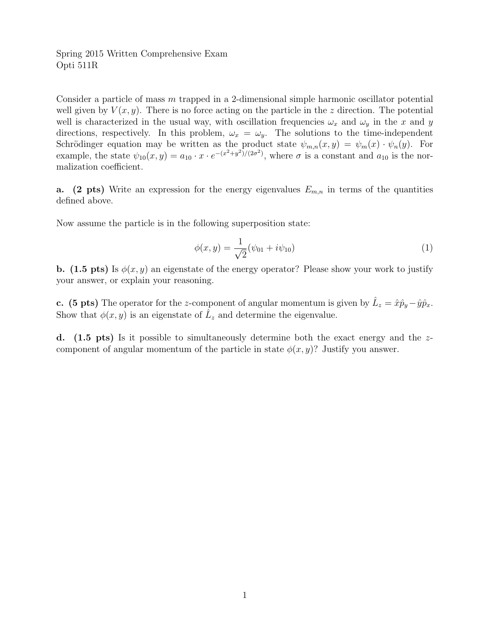Consider a particle of mass  $m$  trapped in a 2-dimensional simple harmonic oscillator potential well given by  $V(x, y)$ . There is no force acting on the particle in the z direction. The potential well is characterized in the usual way, with oscillation frequencies  $\omega_x$  and  $\omega_y$  in the x and y directions, respectively. In this problem,  $\omega_x = \omega_y$ . The solutions to the time-independent Schrödinger equation may be written as the product state  $\psi_{m,n}(x, y) = \psi_m(x) \cdot \psi_n(y)$ . For example, the state  $\psi_{10}(x,y) = a_{10} \cdot x \cdot e^{-(x^2+y^2)/(2\sigma^2)}$ , where  $\sigma$  is a constant and  $a_{10}$  is the normalization coefficient.

a. (2 pts) Write an expression for the energy eigenvalues  $E_{m,n}$  in terms of the quantities defined above.

Now assume the particle is in the following superposition state:

$$
\phi(x,y) = \frac{1}{\sqrt{2}}(\psi_{01} + i\psi_{10})
$$
\n(1)

**b.** (1.5 pts) Is  $\phi(x, y)$  an eigenstate of the energy operator? Please show your work to justify your answer, or explain your reasoning.

c. (5 pts) The operator for the z-component of angular momentum is given by  $\hat{L}_z = \hat{x}\hat{p}_y - \hat{y}\hat{p}_x$ . Show that  $\phi(x, y)$  is an eigenstate of  $\hat{L}_z$  and determine the eigenvalue.

d. (1.5 pts) Is it possible to simultaneously determine both the exact energy and the  $z$ component of angular momentum of the particle in state  $\phi(x, y)$ ? Justify you answer.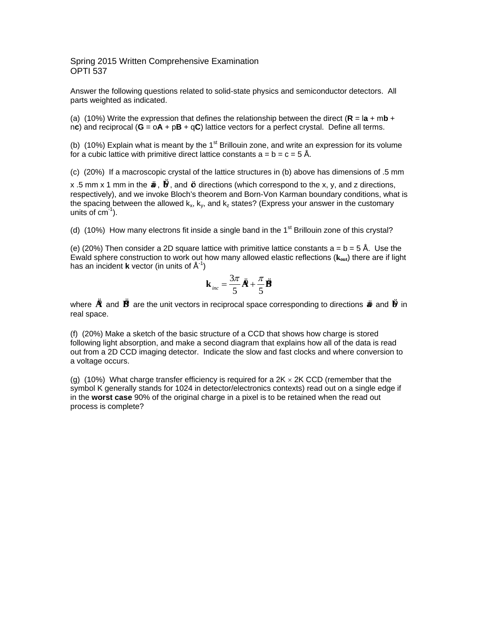Spring 2015 Written Comprehensive Examination OPTI 537

Answer the following questions related to solid-state physics and semiconductor detectors. All parts weighted as indicated.

(a) (10%) Write the expression that defines the relationship between the direct  $(R = |a + mb + b|)$ n**c**) and reciprocal (**G** = o**A** + p**B** + q**C**) lattice vectors for a perfect crystal. Define all terms.

(b) (10%) Explain what is meant by the  $1<sup>st</sup>$  Brillouin zone, and write an expression for its volume for a cubic lattice with primitive direct lattice constants  $a = b = c = 5 \text{ Å}.$ 

(c) (20%) If a macroscopic crystal of the lattice structures in (b) above has dimensions of .5 mm

x .5 mm x 1 mm in the  $\ddot{\bm{\omega}}$ ,  $\ddot{\bm{\theta}}$ , and  $\ddot{\bm{\sigma}}$  directions (which correspond to the x, y, and z directions, respectively), and we invoke Bloch's theorem and Born-Von Karman boundary conditions, what is the spacing between the allowed  $k_x$ ,  $k_y$ , and  $k_z$  states? (Express your answer in the customary units of  $cm^{-1}$ ).

(d) (10%) How many electrons fit inside a single band in the  $1<sup>st</sup>$  Brillouin zone of this crystal?

(e) (20%) Then consider a 2D square lattice with primitive lattice constants  $a = b = 5 \text{ Å}$ . Use the Ewald sphere construction to work out how many allowed elastic reflections (**kout**) there are if light has an incident **k** vector (in units of  $A^{-1}$ )

$$
\mathbf{k}_{inc} = \frac{3\pi}{5}\ddot{\mathbf{A}} + \frac{\pi}{5}\ddot{\mathbf{B}}
$$

where  $\ddot{A}$  and  $\ddot{B}$  are the unit vectors in reciprocal space corresponding to directions  $\ddot{\bm{x}}$  and  $\ddot{B}$  in real space.

(f) (20%) Make a sketch of the basic structure of a CCD that shows how charge is stored following light absorption, and make a second diagram that explains how all of the data is read out from a 2D CCD imaging detector. Indicate the slow and fast clocks and where conversion to a voltage occurs.

(g) (10%) What charge transfer efficiency is required for a  $2K \times 2K$  CCD (remember that the symbol K generally stands for 1024 in detector/electronics contexts) read out on a single edge if in the **worst case** 90% of the original charge in a pixel is to be retained when the read out process is complete?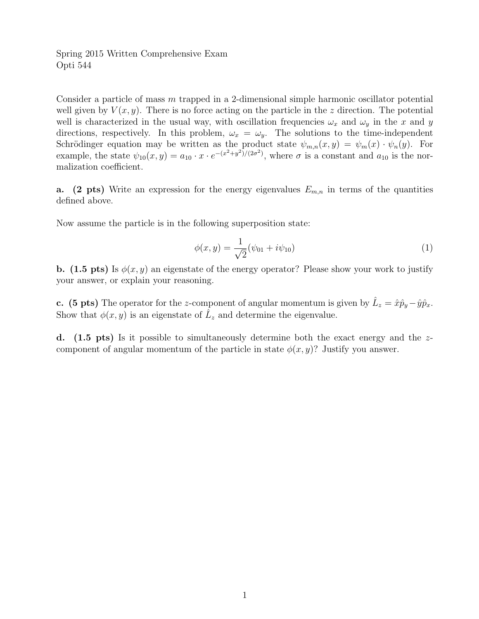Consider a particle of mass  $m$  trapped in a 2-dimensional simple harmonic oscillator potential well given by  $V(x, y)$ . There is no force acting on the particle in the z direction. The potential well is characterized in the usual way, with oscillation frequencies  $\omega_x$  and  $\omega_y$  in the x and y directions, respectively. In this problem,  $\omega_x = \omega_y$ . The solutions to the time-independent Schrödinger equation may be written as the product state  $\psi_{m,n}(x, y) = \psi_m(x) \cdot \psi_n(y)$ . For example, the state  $\psi_{10}(x,y) = a_{10} \cdot x \cdot e^{-(x^2+y^2)/(2\sigma^2)}$ , where  $\sigma$  is a constant and  $a_{10}$  is the normalization coefficient.

a. (2 pts) Write an expression for the energy eigenvalues  $E_{m,n}$  in terms of the quantities defined above.

Now assume the particle is in the following superposition state:

$$
\phi(x,y) = \frac{1}{\sqrt{2}}(\psi_{01} + i\psi_{10})
$$
\n(1)

**b.** (1.5 pts) Is  $\phi(x, y)$  an eigenstate of the energy operator? Please show your work to justify your answer, or explain your reasoning.

c. (5 pts) The operator for the z-component of angular momentum is given by  $\hat{L}_z = \hat{x}\hat{p}_y - \hat{y}\hat{p}_x$ . Show that  $\phi(x, y)$  is an eigenstate of  $\hat{L}_z$  and determine the eigenvalue.

d. (1.5 pts) Is it possible to simultaneously determine both the exact energy and the  $z$ component of angular momentum of the particle in state  $\phi(x, y)$ ? Justify you answer.